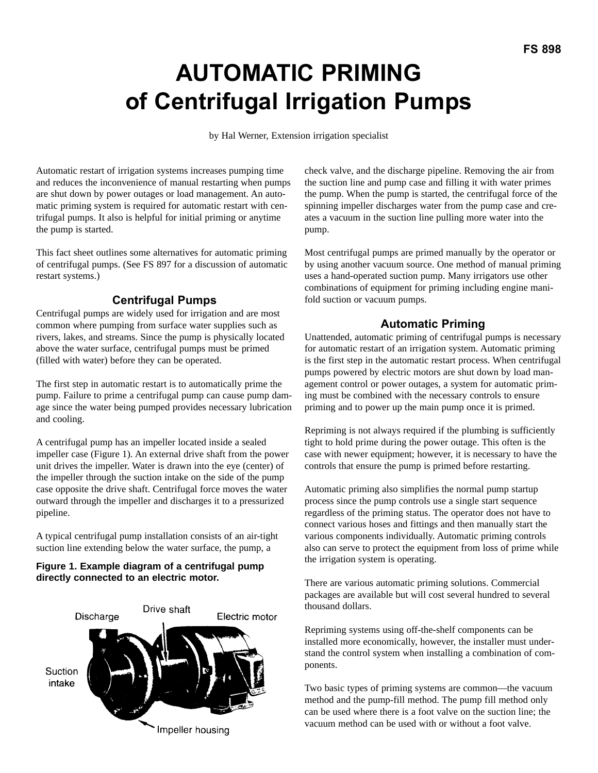# **AUTOMATIC PRIMING of Centrifugal Irrigation Pumps**

by Hal Werner, Extension irrigation specialist

Automatic restart of irrigation systems increases pumping time and reduces the inconvenience of manual restarting when pumps are shut down by power outages or load management. An automatic priming system is required for automatic restart with centrifugal pumps. It also is helpful for initial priming or anytime the pump is started.

This fact sheet outlines some alternatives for automatic priming of centrifugal pumps. (See FS 897 for a discussion of automatic restart systems.)

# **Centrifugal Pumps**

Centrifugal pumps are widely used for irrigation and are most common where pumping from surface water supplies such as rivers, lakes, and streams. Since the pump is physically located above the water surface, centrifugal pumps must be primed (filled with water) before they can be operated.

The first step in automatic restart is to automatically prime the pump. Failure to prime a centrifugal pump can cause pump damage since the water being pumped provides necessary lubrication and cooling.

A centrifugal pump has an impeller located inside a sealed impeller case (Figure 1). An external drive shaft from the power unit drives the impeller. Water is drawn into the eye (center) of the impeller through the suction intake on the side of the pump case opposite the drive shaft. Centrifugal force moves the water outward through the impeller and discharges it to a pressurized pipeline.

A typical centrifugal pump installation consists of an air-tight suction line extending below the water surface, the pump, a

## **Figure 1. Example diagram of a centrifugal pump directly connected to an electric motor.**



check valve, and the discharge pipeline. Removing the air from the suction line and pump case and filling it with water primes the pump. When the pump is started, the centrifugal force of the spinning impeller discharges water from the pump case and creates a vacuum in the suction line pulling more water into the pump.

Most centrifugal pumps are primed manually by the operator or by using another vacuum source. One method of manual priming uses a hand-operated suction pump. Many irrigators use other combinations of equipment for priming including engine manifold suction or vacuum pumps.

# **Automatic Priming**

Unattended, automatic priming of centrifugal pumps is necessary for automatic restart of an irrigation system. Automatic priming is the first step in the automatic restart process. When centrifugal pumps powered by electric motors are shut down by load management control or power outages, a system for automatic priming must be combined with the necessary controls to ensure priming and to power up the main pump once it is primed.

Repriming is not always required if the plumbing is sufficiently tight to hold prime during the power outage. This often is the case with newer equipment; however, it is necessary to have the controls that ensure the pump is primed before restarting.

Automatic priming also simplifies the normal pump startup process since the pump controls use a single start sequence regardless of the priming status. The operator does not have to connect various hoses and fittings and then manually start the various components individually. Automatic priming controls also can serve to protect the equipment from loss of prime while the irrigation system is operating.

There are various automatic priming solutions. Commercial packages are available but will cost several hundred to several thousand dollars.

Repriming systems using off-the-shelf components can be installed more economically, however, the installer must understand the control system when installing a combination of components.

Two basic types of priming systems are common—the vacuum method and the pump-fill method. The pump fill method only can be used where there is a foot valve on the suction line; the vacuum method can be used with or without a foot valve.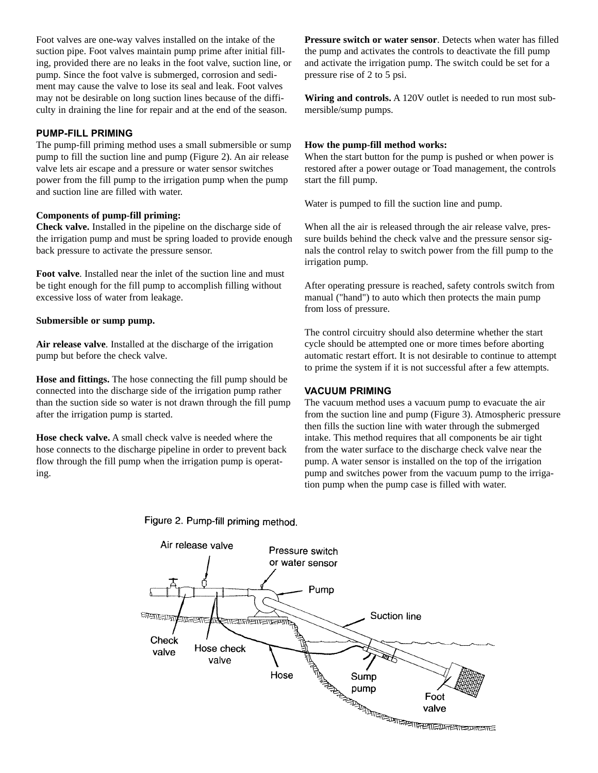Foot valves are one-way valves installed on the intake of the suction pipe. Foot valves maintain pump prime after initial filling, provided there are no leaks in the foot valve, suction line, or pump. Since the foot valve is submerged, corrosion and sediment may cause the valve to lose its seal and leak. Foot valves may not be desirable on long suction lines because of the difficulty in draining the line for repair and at the end of the season.

## **PUMP-FILL PRIMING**

The pump-fill priming method uses a small submersible or sump pump to fill the suction line and pump (Figure 2). An air release valve lets air escape and a pressure or water sensor switches power from the fill pump to the irrigation pump when the pump and suction line are filled with water.

#### **Components of pump-fill priming:**

**Check valve.** Installed in the pipeline on the discharge side of the irrigation pump and must be spring loaded to provide enough back pressure to activate the pressure sensor.

**Foot valve**. Installed near the inlet of the suction line and must be tight enough for the fill pump to accomplish filling without excessive loss of water from leakage.

#### **Submersible or sump pump.**

**Air release valve**. Installed at the discharge of the irrigation pump but before the check valve.

**Hose and fittings.** The hose connecting the fill pump should be connected into the discharge side of the irrigation pump rather than the suction side so water is not drawn through the fill pump after the irrigation pump is started.

**Hose check valve.** A small check valve is needed where the hose connects to the discharge pipeline in order to prevent back flow through the fill pump when the irrigation pump is operating.

**Pressure switch or water sensor**. Detects when water has filled the pump and activates the controls to deactivate the fill pump and activate the irrigation pump. The switch could be set for a pressure rise of 2 to 5 psi.

**Wiring and controls.** A 120V outlet is needed to run most submersible/sump pumps.

#### **How the pump-fill method works:**

When the start button for the pump is pushed or when power is restored after a power outage or Toad management, the controls start the fill pump.

Water is pumped to fill the suction line and pump.

When all the air is released through the air release valve, pressure builds behind the check valve and the pressure sensor signals the control relay to switch power from the fill pump to the irrigation pump.

After operating pressure is reached, safety controls switch from manual ("hand") to auto which then protects the main pump from loss of pressure.

The control circuitry should also determine whether the start cycle should be attempted one or more times before aborting automatic restart effort. It is not desirable to continue to attempt to prime the system if it is not successful after a few attempts.

### **VACUUM PRIMING**

The vacuum method uses a vacuum pump to evacuate the air from the suction line and pump (Figure 3). Atmospheric pressure then fills the suction line with water through the submerged intake. This method requires that all components be air tight from the water surface to the discharge check valve near the pump. A water sensor is installed on the top of the irrigation pump and switches power from the vacuum pump to the irrigation pump when the pump case is filled with water.



Figure 2. Pump-fill priming method.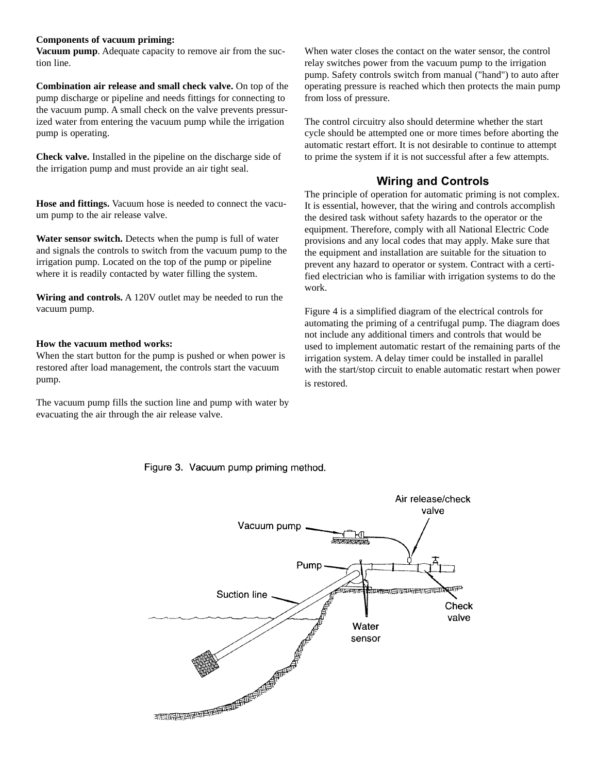#### **Components of vacuum priming:**

**Vacuum pump**. Adequate capacity to remove air from the suction line.

**Combination air release and small check valve.** On top of the pump discharge or pipeline and needs fittings for connecting to the vacuum pump. A small check on the valve prevents pressurized water from entering the vacuum pump while the irrigation pump is operating.

**Check valve.** Installed in the pipeline on the discharge side of the irrigation pump and must provide an air tight seal.

**Hose and fittings.** Vacuum hose is needed to connect the vacuum pump to the air release valve.

**Water sensor switch.** Detects when the pump is full of water and signals the controls to switch from the vacuum pump to the irrigation pump. Located on the top of the pump or pipeline where it is readily contacted by water filling the system.

**Wiring and controls.** A 120V outlet may be needed to run the vacuum pump.

## **How the vacuum method works:**

When the start button for the pump is pushed or when power is restored after load management, the controls start the vacuum pump.

The vacuum pump fills the suction line and pump with water by evacuating the air through the air release valve.

When water closes the contact on the water sensor, the control relay switches power from the vacuum pump to the irrigation pump. Safety controls switch from manual ("hand") to auto after operating pressure is reached which then protects the main pump from loss of pressure.

The control circuitry also should determine whether the start cycle should be attempted one or more times before aborting the automatic restart effort. It is not desirable to continue to attempt to prime the system if it is not successful after a few attempts.

# **Wiring and Controls**

The principle of operation for automatic priming is not complex. It is essential, however, that the wiring and controls accomplish the desired task without safety hazards to the operator or the equipment. Therefore, comply with all National Electric Code provisions and any local codes that may apply. Make sure that the equipment and installation are suitable for the situation to prevent any hazard to operator or system. Contract with a certified electrician who is familiar with irrigation systems to do the work.

Figure 4 is a simplified diagram of the electrical controls for automating the priming of a centrifugal pump. The diagram does not include any additional timers and controls that would be used to implement automatic restart of the remaining parts of the irrigation system. A delay timer could be installed in parallel with the start/stop circuit to enable automatic restart when power is restored.

## Figure 3. Vacuum pump priming method.